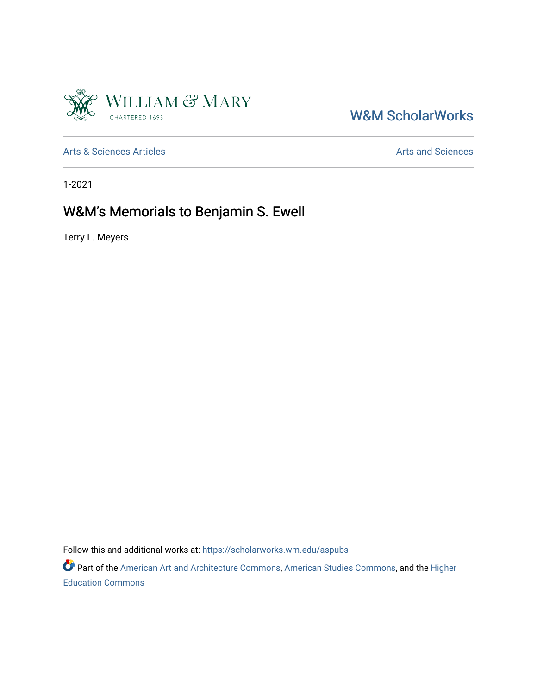

## W&M ScholarWorks

[Arts & Sciences Articles](https://scholarworks.wm.edu/aspubs) **Articles** [Arts and Sciences](https://scholarworks.wm.edu/as) Arts and Sciences

1-2021

## W&M's Memorials to Benjamin S. Ewell

Terry L. Meyers

Follow this and additional works at: [https://scholarworks.wm.edu/aspubs](https://scholarworks.wm.edu/aspubs?utm_source=scholarworks.wm.edu%2Faspubs%2F2073&utm_medium=PDF&utm_campaign=PDFCoverPages) 

Part of the [American Art and Architecture Commons](http://network.bepress.com/hgg/discipline/511?utm_source=scholarworks.wm.edu%2Faspubs%2F2073&utm_medium=PDF&utm_campaign=PDFCoverPages), [American Studies Commons](http://network.bepress.com/hgg/discipline/439?utm_source=scholarworks.wm.edu%2Faspubs%2F2073&utm_medium=PDF&utm_campaign=PDFCoverPages), and the [Higher](http://network.bepress.com/hgg/discipline/1245?utm_source=scholarworks.wm.edu%2Faspubs%2F2073&utm_medium=PDF&utm_campaign=PDFCoverPages)  [Education Commons](http://network.bepress.com/hgg/discipline/1245?utm_source=scholarworks.wm.edu%2Faspubs%2F2073&utm_medium=PDF&utm_campaign=PDFCoverPages)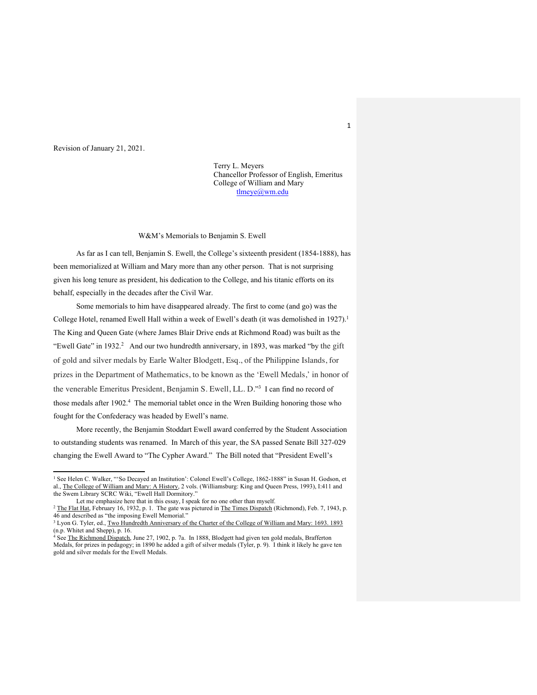Revision of January 21, 2021.

Terry L. Meyers Chancellor Professor of English, Emeritus College of William and Mary tlmeye@wm.edu

W&M's Memorials to Benjamin S. Ewell

As far as I can tell, Benjamin S. Ewell, the College's sixteenth president (1854-1888), has been memorialized at William and Mary more than any other person. That is not surprising given his long tenure as president, his dedication to the College, and his titanic efforts on its behalf, especially in the decades after the Civil War.

Some memorials to him have disappeared already. The first to come (and go) was the College Hotel, renamed Ewell Hall within a week of Ewell's death (it was demolished in 1927).<sup>1</sup> The King and Queen Gate (where James Blair Drive ends at Richmond Road) was built as the "Ewell Gate" in 1932.<sup>2</sup> And our two hundredth anniversary, in 1893, was marked "by the gift of gold and silver medals by Earle Walter Blodgett, Esq., of the Philippine Islands, for prizes in the Department of Mathematics, to be known as the 'Ewell Medals,' in honor of the venerable Emeritus President, Benjamin S. Ewell, LL. D."3 I can find no record of those medals after 1902.4 The memorial tablet once in the Wren Building honoring those who fought for the Confederacy was headed by Ewell's name.

More recently, the Benjamin Stoddart Ewell award conferred by the Student Association to outstanding students was renamed. In March of this year, the SA passed Senate Bill 327-029 changing the Ewell Award to "The Cypher Award." The Bill noted that "President Ewell's

<sup>1</sup> See Helen C. Walker, "'So Decayed an Institution': Colonel Ewell's College, 1862-1888" in Susan H. Godson, et al., The College of William and Mary: A History, 2 vols. (Williamsburg: King and Queen Press, 1993), I:411 and the Swem Library SCRC Wiki, "Ewell Hall Dormitory."<br>Let me emphasize here that in this essay, I speak for no one other than myself.

 $\frac{1}{2}$  The Flat Hat, February 16, 1932, p. 1. The gate was pictured in The Times Dispatch (Richmond), Feb. 7, 1943, p. 46 and described as "the imposing Ewell Memorial."

<sup>3</sup> Lyon G. Tyler, ed., Two Hundredth Anniversary of the Charter of the College of William and Mary: 1693. 1893 (n.p. Whitet and Shepp), p. 16.

<sup>4</sup> See The Richmond Dispatch, June 27, 1902, p. 7a. In 1888, Blodgett had given ten gold medals, Brafferton Medals, for prizes in pedagogy; in 1890 he added a gift of silver medals (Tyler, p. 9). I think it likely he gave ten gold and silver medals for the Ewell Medals.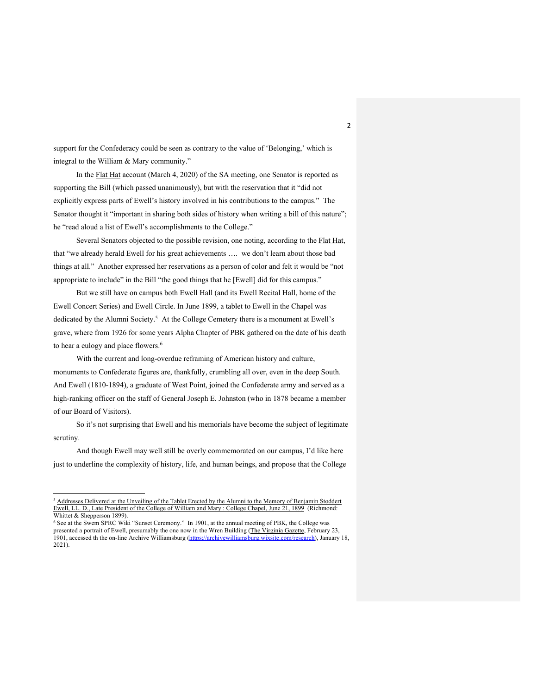support for the Confederacy could be seen as contrary to the value of 'Belonging,' which is integral to the William & Mary community."

In the Flat Hat account (March 4, 2020) of the SA meeting, one Senator is reported as supporting the Bill (which passed unanimously), but with the reservation that it "did not explicitly express parts of Ewell's history involved in his contributions to the campus." The Senator thought it "important in sharing both sides of history when writing a bill of this nature"; he "read aloud a list of Ewell's accomplishments to the College."

Several Senators objected to the possible revision, one noting, according to the Flat Hat, that "we already herald Ewell for his great achievements …. we don't learn about those bad things at all." Another expressed her reservations as a person of color and felt it would be "not appropriate to include" in the Bill "the good things that he [Ewell] did for this campus."

But we still have on campus both Ewell Hall (and its Ewell Recital Hall, home of the Ewell Concert Series) and Ewell Circle. In June 1899, a tablet to Ewell in the Chapel was dedicated by the Alumni Society.<sup>5</sup> At the College Cemetery there is a monument at Ewell's grave, where from 1926 for some years Alpha Chapter of PBK gathered on the date of his death to hear a eulogy and place flowers.<sup>6</sup>

With the current and long-overdue reframing of American history and culture, monuments to Confederate figures are, thankfully, crumbling all over, even in the deep South. And Ewell (1810-1894), a graduate of West Point, joined the Confederate army and served as a high-ranking officer on the staff of General Joseph E. Johnston (who in 1878 became a member of our Board of Visitors).

So it's not surprising that Ewell and his memorials have become the subject of legitimate scrutiny.

And though Ewell may well still be overly commemorated on our campus, I'd like here just to underline the complexity of history, life, and human beings, and propose that the College

<sup>&</sup>lt;sup>5</sup> Addresses Delivered at the Unveiling of the Tablet Erected by the Alumni to the Memory of Benjamin Stoddert Ewell, LL. D., Late President of the College of William and Mary : College Chapel, June 21, 1899 (Richmond: Whittet & Shepperson 1899).

<sup>6</sup> See at the Swem SPRC Wiki "Sunset Ceremony." In 1901, at the annual meeting of PBK, the College was presented a portrait of Ewell, presumably the one now in the Wren Building (The Virginia Gazette, February 23, 1901, accessed th the on-line Archive Williamsburg (https://archivewilliamsburg.wixsite.com/research), January 18, 2021).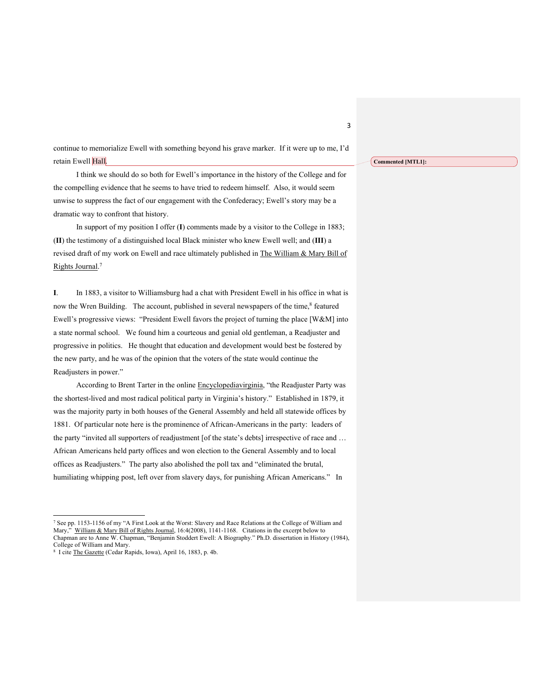continue to memorialize Ewell with something beyond his grave marker. If it were up to me, I'd retain Ewell Hall.

I think we should do so both for Ewell's importance in the history of the College and for the compelling evidence that he seems to have tried to redeem himself. Also, it would seem unwise to suppress the fact of our engagement with the Confederacy; Ewell's story may be a dramatic way to confront that history.

In support of my position I offer (**I**) comments made by a visitor to the College in 1883; (**II**) the testimony of a distinguished local Black minister who knew Ewell well; and (**III**) a revised draft of my work on Ewell and race ultimately published in The William & Mary Bill of Rights Journal. 7

**I**. In 1883, a visitor to Williamsburg had a chat with President Ewell in his office in what is now the Wren Building. The account, published in several newspapers of the time,<sup>8</sup> featured Ewell's progressive views: "President Ewell favors the project of turning the place [W&M] into a state normal school. We found him a courteous and genial old gentleman, a Readjuster and progressive in politics. He thought that education and development would best be fostered by the new party, and he was of the opinion that the voters of the state would continue the Readjusters in power."

According to Brent Tarter in the online Encyclopediavirginia, "the Readjuster Party was the shortest-lived and most radical political party in Virginia's history." Established in 1879, it was the majority party in both houses of the General Assembly and held all statewide offices by 1881. Of particular note here is the prominence of African-Americans in the party: leaders of the party "invited all supporters of readjustment [of the state's debts] irrespective of race and … African Americans held party offices and won election to the General Assembly and to local offices as Readjusters." The party also abolished the poll tax and "eliminated the brutal, humiliating whipping post, left over from slavery days, for punishing African Americans." In

<sup>7</sup> See pp. 1153-1156 of my "A First Look at the Worst: Slavery and Race Relations at the College of William and Mary," William & Mary Bill of Rights Journal, 16:4(2008), 1141-1168. Citations in the excerpt below to Chapman are to Anne W. Chapman, "Benjamin Stoddert Ewell: A Biography." Ph.D. dissertation in History (1984), College of William and Mary.

<sup>8</sup> I cite The Gazette (Cedar Rapids, Iowa), April 16, 1883, p. 4b.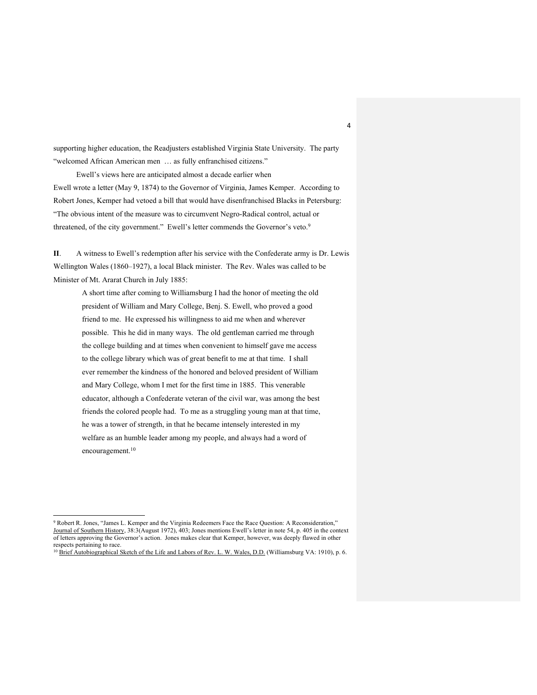supporting higher education, the Readjusters established Virginia State University. The party "welcomed African American men … as fully enfranchised citizens."

Ewell's views here are anticipated almost a decade earlier when Ewell wrote a letter (May 9, 1874) to the Governor of Virginia, James Kemper. According to Robert Jones, Kemper had vetoed a bill that would have disenfranchised Blacks in Petersburg: "The obvious intent of the measure was to circumvent Negro-Radical control, actual or threatened, of the city government." Ewell's letter commends the Governor's veto.<sup>9</sup>

**II**. A witness to Ewell's redemption after his service with the Confederate army is Dr. Lewis Wellington Wales (1860–1927), a local Black minister. The Rev. Wales was called to be Minister of Mt. Ararat Church in July 1885:

A short time after coming to Williamsburg I had the honor of meeting the old president of William and Mary College, Benj. S. Ewell, who proved a good friend to me. He expressed his willingness to aid me when and wherever possible. This he did in many ways. The old gentleman carried me through the college building and at times when convenient to himself gave me access to the college library which was of great benefit to me at that time. I shall ever remember the kindness of the honored and beloved president of William and Mary College, whom I met for the first time in 1885. This venerable educator, although a Confederate veteran of the civil war, was among the best friends the colored people had. To me as a struggling young man at that time, he was a tower of strength, in that he became intensely interested in my welfare as an humble leader among my people, and always had a word of encouragement.<sup>10</sup>

<sup>9</sup> Robert R. Jones, "James L. Kemper and the Virginia Redeemers Face the Race Question: A Reconsideration," Journal of Southern History, 38:3(August 1972), 403; Jones mentions Ewell's letter in note 54, p. 405 in the context of letters approving the Governor's action. Jones makes clear that Kemper, however, was deeply flawed in other respects pertaining to race.

<sup>10</sup> Brief Autobiographical Sketch of the Life and Labors of Rev. L. W. Wales, D.D. (Williamsburg VA: 1910), p. 6.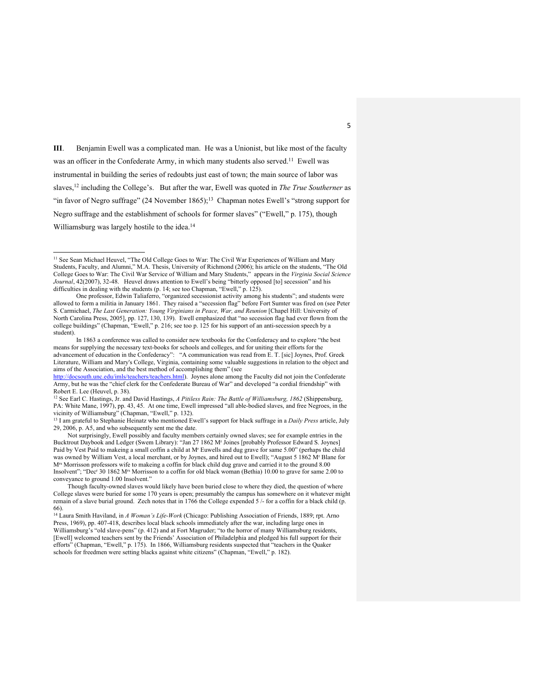**III**. Benjamin Ewell was a complicated man. He was a Unionist, but like most of the faculty was an officer in the Confederate Army, in which many students also served.<sup>11</sup> Ewell was instrumental in building the series of redoubts just east of town; the main source of labor was slaves,12 including the College's. But after the war, Ewell was quoted in *The True Southerner* as "in favor of Negro suffrage"  $(24$  November  $1865)$ ;<sup>13</sup> Chapman notes Ewell's "strong support for Negro suffrage and the establishment of schools for former slaves" ("Ewell," p. 175), though Williamsburg was largely hostile to the idea.<sup>14</sup>

<sup>11</sup> See Sean Michael Heuvel, "The Old College Goes to War: The Civil War Experiences of William and Mary Students, Faculty, and Alumni," M.A. Thesis, University of Richmond (2006); his article on the students, "The Old College Goes to War: The Civil War Service of William and Mary Students," appears in the *Virginia Social Science Journal*, 42(2007), 32-48. Heuvel draws attention to Ewell's being "bitterly opposed [to] secession" and his difficulties in dealing with the students (p. 14; see too Chapman, "Ewell," p. 125).

One professor, Edwin Taliaferro, "organized secessionist activity among his students"; and students were allowed to form a militia in January 1861. They raised a "secession flag" before Fort Sumter was fired on (see Peter S. Carmichael, *The Last Generation: Young Virginians in Peace, War, and Reunion* [Chapel Hill: University of North Carolina Press, 2005], pp. 127, 130, 139). Ewell emphasized that "no secession flag had ever flown from the college buildings" (Chapman, "Ewell," p. 216; see too p. 125 for his support of an anti-secession speech by a student).

In 1863 a conference was called to consider new textbooks for the Confederacy and to explore "the best means for supplying the necessary text-books for schools and colleges, and for uniting their efforts for the advancement of education in the Confederacy": "A communication was read from E. T. [sic] Joynes, Prof. Greek Literature, William and Mary's College, Virginia, containing some valuable suggestions in relation to the object and aims of the Association, and the best method of accomplishing them" (see

http://docsouth.unc.edu/imls/teachers/teachers.html). Joynes alone among the Faculty did not join the Confederate Army, but he was the "chief clerk for the Confederate Bureau of War" and developed "a cordial friendship" with Robert E. Lee (Heuvel, p. 38).

<sup>12</sup> See Earl C. Hastings, Jr. and David Hastings, *A Pitiless Rain: The Battle of Williamsburg, 1862* (Shippensburg, PA: White Mane, 1997), pp. 43, 45. At one time, Ewell impressed "all able-bodied slaves, and free Negroes, in the vicinity of Williamsburg" (Chapman, "Ewell," p. 132).

<sup>13</sup> I am grateful to Stephanie Heinatz who mentioned Ewell's support for black suffrage in a *Daily Press* article, July 29, 2006, p. A5, and who subsequently sent me the date.

Not surprisingly, Ewell possibly and faculty members certainly owned slaves; see for example entries in the Bucktrout Daybook and Ledger (Swem Library): "Jan 27 1862 Mr Joines [probably Professor Edward S. Joynes] Paid by Vest Paid to makeing a small coffin a child at Mr Euwells and dug grave for same 5.00" (perhaps the child was owned by William Vest, a local merchant, or by Joynes, and hired out to Ewell); "August 5 1862 Mr Blane for Mrs Morrisson professors wife to makeing a coffin for black child dug grave and carried it to the ground 8.00 Insolvent"; "Decr 30 1862 Mrs Morrisson to a coffin for old black woman (Bethia) 10.00 to grave for same 2.00 to conveyance to ground 1.00 Insolvent."

Though faculty-owned slaves would likely have been buried close to where they died, the question of where College slaves were buried for some 170 years is open; presumably the campus has somewhere on it whatever might remain of a slave burial ground. Zech notes that in 1766 the College expended 5 /- for a coffin for a black child (p. 66).

<sup>14</sup> Laura Smith Haviland, in *A Woman's Life-Work* (Chicago: Publishing Association of Friends, 1889; rpt. Arno Press, 1969), pp. 407-418, describes local black schools immediately after the war, including large ones in Williamsburg's "old slave-pens" (p. 412) and at Fort Magruder; "to the horror of many Williamsburg residents, [Ewell] welcomed teachers sent by the Friends' Association of Philadelphia and pledged his full support for their efforts" (Chapman, "Ewell," p. 175). In 1866, Williamsburg residents suspected that "teachers in the Quaker schools for freedmen were setting blacks against white citizens" (Chapman, "Ewell," p. 182).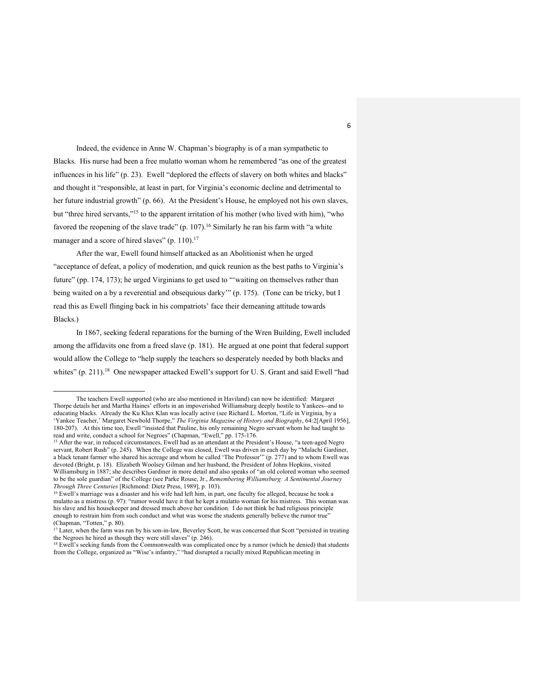Indeed, the evidence in Anne W. Chapman's biography is of a man sympathetic to Blacks. His nurse had been a free mulatto woman whom he remembered "as one of the greatest influences in his life" (p. 23). Ewell "deplored the effects of slavery on both whites and blacks" and thought it "responsible, at least in part, for Virginia's economic decline and detrimental to her future industrial growth" (p. 66). At the President's House, he employed not his own slaves, but "three hired servants,"15 to the apparent irritation of his mother (who lived with him), "who favored the reopening of the slave trade"  $(p. 107)$ .<sup>16</sup> Similarly he ran his farm with "a white manager and a score of hired slaves" (p. 110).<sup>17</sup>

After the war, Ewell found himself attacked as an Abolitionist when he urged "acceptance of defeat, a policy of moderation, and quick reunion as the best paths to Virginia's future" (pp. 174, 173); he urged Virginians to get used to "'waiting on themselves rather than being waited on a by a reverential and obsequious darky'" (p. 175). (Tone can be tricky, but I read this as Ewell flinging back in his compatriots' face their demeaning attitude towards Blacks.)

In 1867, seeking federal reparations for the burning of the Wren Building, Ewell included among the affidavits one from a freed slave (p. 181). He argued at one point that federal support would allow the College to "help supply the teachers so desperately needed by both blacks and whites" (p. 211).<sup>18</sup> One newspaper attacked Ewell's support for U. S. Grant and said Ewell "had

The teachers Ewell supported (who are also mentioned in Haviland) can now be identified: Margaret Thorpe details her and Martha Haines' efforts in an impoverished Williamsburg deeply hostile to Yankees--and to educating blacks. Already the Ku Klux Klan was locally active (see Richard L. Morton, "Life in Virginia, by a 'Yankee Teacher,' Margaret Newbold Thorpe," *The Virginia Magazine of History and Biography*, 64:2[April 1956], 180-207). At this time too, Ewell "insisted that Pauline, his only remaining Negro servant whom he had taught to read and write, conduct a school for Negroes" (Chapman, "Ewell," pp. 175-176.

<sup>&</sup>lt;sup>15</sup> After the war, in reduced circumstances, Ewell had as an attendant at the President's House, "a teen-aged Negro servant, Robert Rush" (p. 245). When the College was closed, Ewell was driven in each day by "Malachi Gardiner, a black tenant farmer who shared his acreage and whom he called 'The Professor'" (p. 277) and to whom Ewell was devoted (Bright, p. 18). Elizabeth Woolsey Gilman and her husband, the President of Johns Hopkins, visited Williamsburg in 1887; she describes Gardiner in more detail and also speaks of "an old colored woman who seemed to be the sole guardian" of the College (see Parke Rouse, Jr., *Remembering Williamsburg: A Sentimental Journey Through Three Centuries* [Richmond: Dietz Press, 1989], p. 103).

<sup>&</sup>lt;sup>16</sup> Ewell's marriage was a disaster and his wife had left him, in part, one faculty foe alleged, because he took a mulatto as a mistress (p. 97): "rumor would have it that he kept a mulatto woman for his mistress. This woman was his slave and his housekeeper and dressed much above her condition. I do not think he had religious principle enough to restrain him from such conduct and what was worse the students generally believe the rumor true" (Chapman, "Totten," p. 80).

 $17$  Later, when the farm was run by his son-in-law. Beverley Scott, he was concerned that Scott "persisted in treating the Negroes he hired as though they were still slaves" (p. 246).

<sup>18</sup> Ewell's seeking funds from the Commonwealth was complicated once by a rumor (which he denied) that students from the College, organized as "Wise's infantry," "had disrupted a racially mixed Republican meeting in